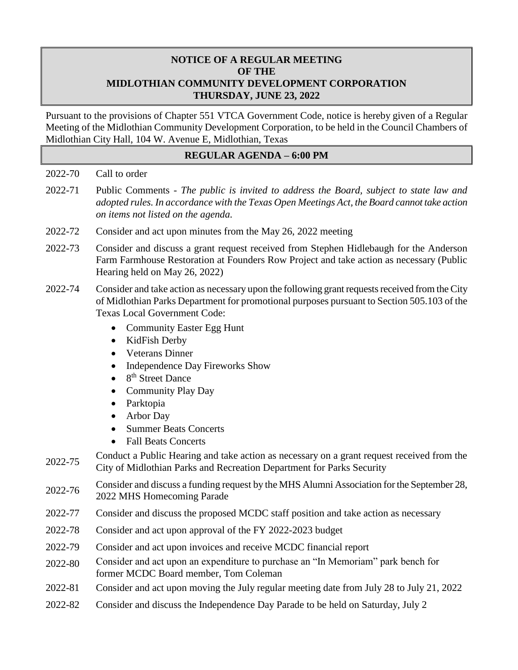# **NOTICE OF A REGULAR MEETING OF THE MIDLOTHIAN COMMUNITY DEVELOPMENT CORPORATION THURSDAY, JUNE 23, 2022**

Pursuant to the provisions of Chapter 551 VTCA Government Code, notice is hereby given of a Regular Meeting of the Midlothian Community Development Corporation, to be held in the Council Chambers of Midlothian City Hall, 104 W. Avenue E, Midlothian, Texas

## **REGULAR AGENDA – 6:00 PM**

### 2022-70 Call to order

- 2022-71 Public Comments *The public is invited to address the Board, subject to state law and adopted rules. In accordance with the Texas Open Meetings Act, the Board cannot take action on items not listed on the agenda.*
- 2022-72 Consider and act upon minutes from the May 26, 2022 meeting
- 2022-73 Consider and discuss a grant request received from Stephen Hidlebaugh for the Anderson Farm Farmhouse Restoration at Founders Row Project and take action as necessary (Public Hearing held on May 26, 2022)
- 2022-74 Consider and take action as necessary upon the following grant requests received from the City of Midlothian Parks Department for promotional purposes pursuant to Section 505.103 of the Texas Local Government Code:
	- Community Easter Egg Hunt
	- KidFish Derby
	- Veterans Dinner
	- Independence Day Fireworks Show
	- $\bullet$  8<sup>th</sup> Street Dance
	- Community Play Day
	- Parktopia
	- Arbor Day
	- Summer Beats Concerts
	- Fall Beats Concerts
- 2022-75 Conduct a Public Hearing and take action as necessary on a grant request received from the City of Midlothian Parks and Recreation Department for Parks Security
- 2022-76 Consider and discuss a funding request by the MHS Alumni Association for the September 28, 2022 MHS Homecoming Parade
- 2022-77 Consider and discuss the proposed MCDC staff position and take action as necessary
- 2022-78 Consider and act upon approval of the FY 2022-2023 budget
- 2022-79 Consider and act upon invoices and receive MCDC financial report
- 2022-80 Consider and act upon an expenditure to purchase an "In Memoriam" park bench for former MCDC Board member, Tom Coleman
- 2022-81 Consider and act upon moving the July regular meeting date from July 28 to July 21, 2022
- 2022-82 Consider and discuss the Independence Day Parade to be held on Saturday, July 2